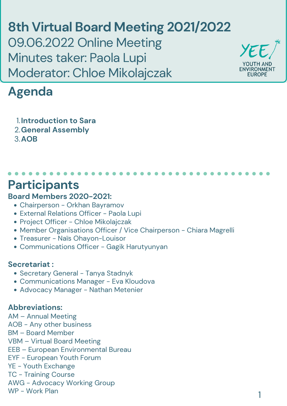### **Board Members 2020-2021:**

- Chairperson Orkhan Bayramov
- External Relations Officer Paola Lupi
- Project Officer Chloe Mikolajczak
- Member Organisations Officer / Vice Chairperson Chiara Magrelli
- Treasurer Naïs Ohayon-Louisor
- Communications Officer Gagik Harutyunyan

#### **Secretariat :**

- Secretary General Tanya Stadnyk
- Communications Manager Eva Kloudova
- Advocacy Manager Nathan Metenier

### **Abbreviations:**

AM – Annual Meeting AOB - Any other business BM – Board Member VBM – Virtual Board Meeting EEB – European Environmental Bureau EYF - European Youth Forum YE - Youth Exchange TC - Training Course AWG - Advocacy Working Group WP - Work Plan

### **Participants**

**8th Virtual Board Meeting 2021/2022** 09.06.2022 Online Meeting Minutes taker: Paola Lupi Moderator: Chloe Mikolajczak



# **Agenda**

**Introduction to Sara** 1. **General Assembly** 2. **AOB** 3.

1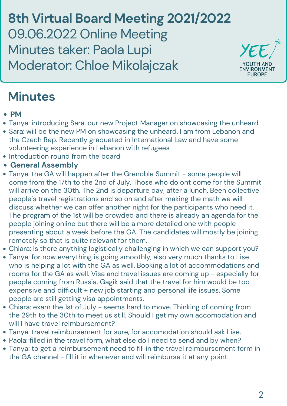**8th Virtual Board Meeting 2021/2022** 09.06.2022 Online Meeting Minutes taker: Paola Lupi Moderator: Chloe Mikolajczak



- **PM**
- Tanya: introducing Sara, our new Project Manager on showcasing the unheard
- Sara: will be the new PM on showcasing the unheard. I am from Lebanon and the Czech Rep. Recently graduated in International Law and have some volunteering experience in Lebanon with refugees
- Introduction round from the board
- **General Assembly**
- Tanya: the GA will happen after the Grenoble Summit some people will come from the 17th to the 2nd of July. Those who do ont come for the Summit will arrive on the 30th. The 2nd is departure day, after a lunch. Been collective people's travel registrations and so on and after making the math we will discuss whether we can offer another night for the participants who need it. The program of the 1st will be crowded and there is already an agenda for the people joining online but there will be a more detailed one with people presenting about a week before the GA. The candidates will mostly be joining remotely so that is quite relevant for them. Chiara: is there anything logistically challenging in which we can support you? Tanya: for now everything is going smoothly, also very much thanks to Lise who is helping a lot with the GA as well. Booking a lot of accommodations and rooms for the GA as well. Visa and travel issues are coming up - especially for people coming from Russia. Gagik said that the travel for him would be too expensive and difficult + new job starting and personal life issues. Some people are still getting visa appointments. Chiara: exam the 1st of July - seems hard to move. Thinking of coming from the 29th to the 30th to meet us still. Should I get my own accomodation and will I have travel reimbursement? Tanya: travel reimbursement for sure, for accomodation should ask Lise. Paola: filled in the travel form, what else do I need to send and by when? Tanya: to get a reimbursement need to fill in the travel reimbursement form in the GA channel - fill it in whenever and will reimburse it at any point.

# **Minutes**